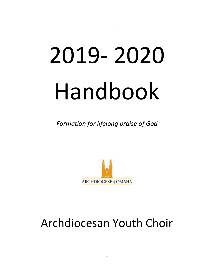# 2019- 2020 Handbook

'

*Formation for lifelong praise of God* 



# Archdiocesan Youth Choir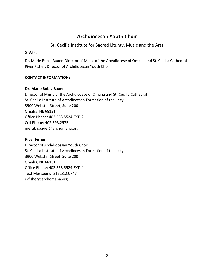## **Archdiocesan Youth Choir**

### St. Cecilia Institute for Sacred Liturgy, Music and the Arts

#### **STAFF:**

Dr. Marie Rubis-Bauer, Director of Music of the Archdiocese of Omaha and St. Cecilia Cathedral River Fisher, Director of Archdiocesan Youth Choir

#### **CONTACT INFORMATION:**

#### **Dr. Marie Rubis-Bauer**

Director of Music of the Archdiocese of Omaha and St. Cecilia Cathedral St. Cecilia Institute of Archdiocesan Formation of the Laity 3900 Webster Street, Suite 200 Omaha, NE 68131 Office Phone: 402.553.5524 EXT. 2 Cell Phone: 402.598.2575 merubisbauer@archomaha.org

#### **River Fisher**

Director of Archdiocesan Youth Choir St. Cecilia Institute of Archdiocesan Formation of the Laity 3900 Webster Street, Suite 200 Omaha, NE 68131 Office Phone: 402.553.5524 EXT. 4 Text Messaging: 217.512.0747 rkfisher@archomaha.org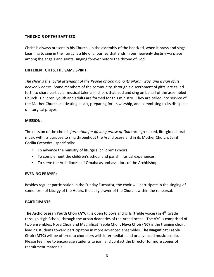#### **THE CHOIR OF THE BAPTIZED:**

Christ is always present in his Church…in the assembly of the baptized, when it prays and sings. Learning to sing in the liturgy is a lifelong journey that ends in our heavenly destiny—a place among the angels and saints, singing forever before the throne of God.

#### **DIFFERENT GIFTS, THE SAME SPIRIT:**

*The choir is the joyful attendant of the People of God along its pilgrim way, and a sign of its heavenly home*. Some members of the community, through a discernment of gifts, are called forth to share particular musical talents in choirs that lead and sing on behalf of the assembled Church. Children, youth and adults are formed for this ministry. They are called into service of the Mother Church, cultivating its art, preparing for its worship, and committing to its discipline of liturgical prayer.

#### **MISSION:**

The mission of the choir is *formation for lifelong praise of God* through sacred, liturgical choral music with its purpose to sing throughout the Archdiocese and in its Mother Church, Saint Cecilia Cathedral, specifically:

- To advance the ministry of liturgical children's choirs.
- To complement the children's school and parish musical experiences.
- To serve the Archdiocese of Omaha as ambassadors of the Archbishop.

#### **EVENING PRAYER:**

Besides regular participation in the Sunday Eucharist, the choir will participate in the singing of some form of Liturgy of the Hours, the daily prayer of the Church, within the rehearsal.

#### **PARTICIPANTS:**

**The Archdiocesan Youth Choir (AYC),** is open to boys and girls (treble voices) in 4<sup>th</sup> Grade through High School, through the urban deaneries of the Archdiocese. The AYC is comprised of two ensembles, Nova Choir and Magnificat Treble Choir. **Nova Choir (NC)** is the training choir, leading students toward participation in more advanced ensembles. **The Magnificat Treble Choir (MTC)** will be offered to choristers with intermediate and or advanced musicianship. Please feel free to encourage students to join, and contact the Director for more copies of recruitment materials.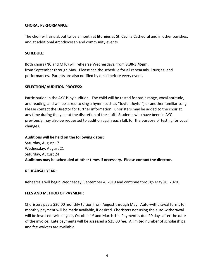#### **CHORAL PERFORMANCE:**

The choir will sing about twice a month at liturgies at St. Cecilia Cathedral and in other parishes, and at additional Archdiocesan and community events.

#### **SCHEDULE:**

Both choirs (NC and MTC) will rehearse Wednesdays, from **3:30-5:45pm.** from September through May. Please see the schedule for all rehearsals, liturgies, and performances. Parents are also notified by email before every event.

#### **SELECTION/ AUDITION PROCESS:**

Participation in the AYC is by audition. The child will be tested for basic range, vocal aptitude, and reading, and will be asked to sing a hymn (such as "Joyful, Joyful") or another familiar song. Please contact the Director for further information. Choristers may be added to the choir at any time during the year at the discretion of the staff. Students who have been in AYC previously may also be requested to audition again each fall, for the purpose of testing for vocal changes.

#### **Auditions will be held on the following dates:**

Saturday, August 17 Wednesday, August 21 Saturday, August 24 **Auditions may be scheduled at other times if necessary. Please contact the director.**

#### **REHEARSAL YEAR:**

Rehearsals will begin Wednesday, September 4, 2019 and continue through May 20, 2020.

#### **FEES AND METHOD OF PAYMENT:**

Choristers pay a \$20.00 monthly tuition from August through May. Auto-withdrawal forms for monthly payment will be made available, if desired. Choristers not using the auto-withdrawal will be invoiced twice a year, October  $1^{st}$  and March  $1^{st}$ . Payment is due 20 days after the date of the invoice. Late payments will be assessed a \$25.00 fee. A limited number of scholarships and fee waivers are available.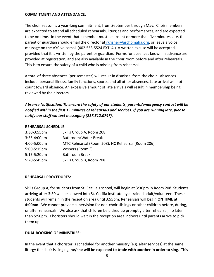#### **COMMITMENT AND ATTENDANCE:**

The choir season is a year-long commitment, from September through May. Choir members are expected to attend all scheduled rehearsals, liturgies and performances, and are expected to be on time. In the event that a member must be absent or more than five minutes late, the parent or guardian should email the director at rkfisher@archomaha.org, or leave a voice message on the AYC voicemail (402.553.5524 EXT. 4.) A written excuse will be accepted, provided that it is written by the parent or guardian. Forms for absences known in advance are provided at registration, and are also available in the choir room before and after rehearsals. This is to ensure the safety of a child who is missing from rehearsal.

A total of three absences (per semester) will result in dismissal from the choir. Absences include: personal illness, family functions, sports, and all other absences. Late arrival will not count toward absence. An excessive amount of late arrivals will result in membership being reviewed by the directors.

*Absence Notification: To ensure the safety of our students, parents/emergency contact will be notified within the first 15 minutes of rehearsals and services. If you are running late, please notify our staff via text messaging (217.512.0747).*

#### **REHEARSAL SCHEDULE:**

| $3:30-3:55$ pm | Skills Group A, Room 208                          |
|----------------|---------------------------------------------------|
| 3:55-4:00pm    | Bathroom/Water Break                              |
| 4:00-5:00pm    | MTC Rehearsal (Room 208), NC Rehearsal (Room 206) |
| 5:00-5:15pm    | Vespers (Room ?)                                  |
| $5:15-5:20$ pm | <b>Bathroom Break</b>                             |
| 5:20-5:45pm    | Skills Group B, Room 208                          |

#### **REHEARSAL PROCEDURES:**

Skills Group A, for students from St. Cecilia's school, will begin at 3:30pm in Room 208. Students arriving after 3:30 will be allowed into St. Cecilia Institute by a trained adult/volunteer. These students will remain in the reception area until 3:55pm. Rehearsals will begin **ON TIME** at **4:00pm**. We cannot provide supervision for non-choir siblings or other children before, during, or after rehearsals. We also ask that children be picked up promptly after rehearsal, no later than 5:50pm. Choristers should wait in the reception area indoors until parents arrive to pick them up.

#### **DUAL BOOKING OF MINISTRIES:**

In the event that a chorister is scheduled for another ministry (e.g. altar services) at the same liturgy the choir is singing, **he/she will be expected to trade with another in order to sing**. This